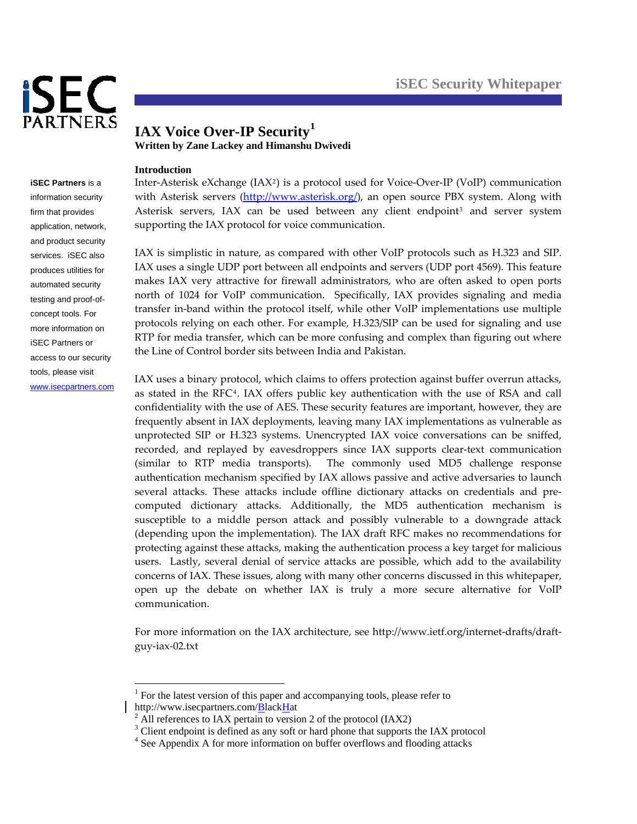

**iSEC Partners** is a information security firm that provides application, network, and product security services. iSEC also produces utilities for automated security testing and proof-ofconcept tools. For more information on iSEC Partners or access to our security tools, please visit <www.isecpartners.com>

# **IAX Voice Over-IP Security[1](#page-0-0) Written by Zane Lackey and Himanshu Dwivedi**

## **Introduction**

1

Inter‐Asterisk eXchange (IAX[2](#page-0-1)) is a protocol used for Voice‐Over‐IP (VoIP) communication with Asterisk servers [\(http://www.asterisk.org/](http://www.asterisk.org/)), an open source PBX system. Along with Asterisk servers, IAX can be used between any client endpoint<sup>[3](#page-0-2)</sup> and server system supporting the IAX protocol for voice communication.

IAX is simplistic in nature, as compared with other VoIP protocols such as H.323 and SIP. IAX uses a single UDP port between all endpoints and servers (UDP port 4569). This feature makes IAX very attractive for firewall administrators, who are often asked to open ports north of 1024 for VoIP communication. Specifically, IAX provides signaling and media transfer in‐band within the protocol itself, while other VoIP implementations use multiple protocols relying on each other. For example, H.323/SIP can be used for signaling and use RTP for media transfer, which can be more confusing and complex than figuring out where the Line of Control border sits between India and Pakistan.

IAX uses a binary protocol, which claims to offers protection against buffer overrun attacks, as stated in the RFC<sup>[4](#page-0-3)</sup>. IAX offers public key authentication with the use of RSA and call confidentiality with the use of AES. These security features are important, however, they are frequently absent in IAX deployments, leaving many IAX implementations as vulnerable as unprotected SIP or H.323 systems. Unencrypted IAX voice conversations can be sniffed, recorded, and replayed by eavesdroppers since IAX supports clear‐text communication (similar to RTP media transports). The commonly used MD5 challenge response authentication mechanism specified by IAX allows passive and active adversaries to launch several attacks. These attacks include offline dictionary attacks on credentials and precomputed dictionary attacks. Additionally, the MD5 authentication mechanism is susceptible to a middle person attack and possibly vulnerable to a downgrade attack (depending upon the implementation). The IAX draft RFC makes no recommendations for protecting against these attacks, making the authentication process a key target for malicious users. Lastly, several denial of service attacks are possible, which add to the availability concerns of IAX. These issues, along with many other concerns discussed in this whitepaper, open up the debate on whether IAX is truly a more secure alternative for VoIP communication.

For more information on the IAX architecture, see http://www.ietf.org/internet-drafts/draftguy‐iax‐02.txt

<span id="page-0-1"></span><span id="page-0-0"></span>http://www.isecpartners.com/ $B$ lack $H$ at  $^2$  All references to JAV pertain to versic <sup>1</sup> For the latest version of this paper and accompanying tools, please refer to

 $^2$  All references to IAX pertain to version 2 of the protocol (IAX2)

<span id="page-0-3"></span><span id="page-0-2"></span><sup>&</sup>lt;sup>3</sup> Client endpoint is defined as any soft or hard phone that supports the IAX protocol

<sup>&</sup>lt;sup>4</sup> See Appendix A for more information on buffer overflows and flooding attacks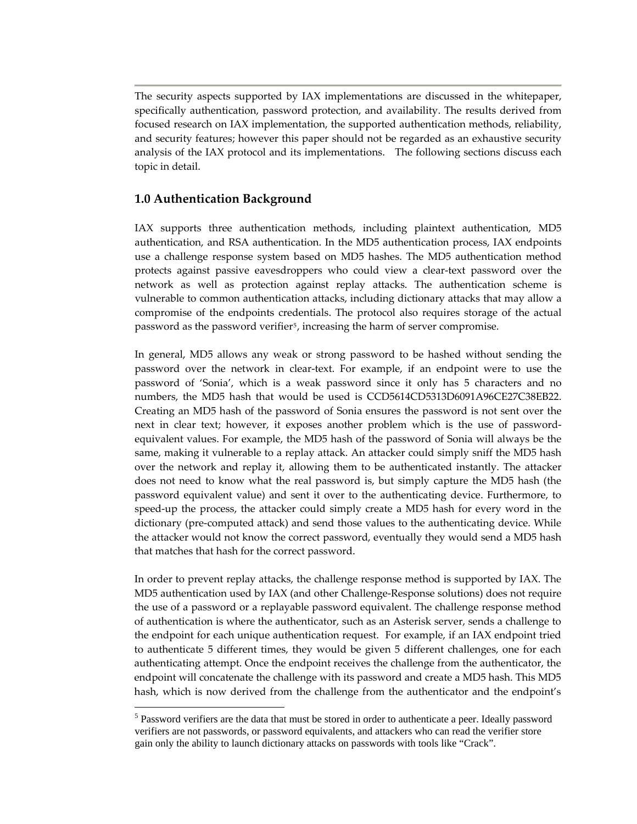The security aspects supported by IAX implementations are discussed in the whitepaper, specifically authentication, password protection, and availability. The results derived from focused research on IAX implementation, the supported authentication methods, reliability, and security features; however this paper should not be regarded as an exhaustive security analysis of the IAX protocol and its implementations. The following sections discuss each topic in detail.

# **1.0 Authentication Background**

1

IAX supports three authentication methods, including plaintext authentication, MD5 authentication, and RSA authentication. In the MD5 authentication process, IAX endpoints use a challenge response system based on MD5 hashes. The MD5 authentication method protects against passive eavesdroppers who could view a clear-text password over the network as well as protection against replay attacks. The authentication scheme is vulnerable to common authentication attacks, including dictionary attacks that may allow a compromise of the endpoints credentials. The protocol also requires storage of the actual password as the password verifier<sup>[5](#page-1-0)</sup>, increasing the harm of server compromise.

In general, MD5 allows any weak or strong password to be hashed without sending the password over the network in clear‐text. For example, if an endpoint were to use the password of 'Sonia', which is a weak password since it only has 5 characters and no numbers, the MD5 hash that would be used is CCD5614CD5313D6091A96CE27C38EB22. Creating an MD5 hash of the password of Sonia ensures the password is not sent over the next in clear text; however, it exposes another problem which is the use of passwordequivalent values. For example, the MD5 hash of the password of Sonia will always be the same, making it vulnerable to a replay attack. An attacker could simply sniff the MD5 hash over the network and replay it, allowing them to be authenticated instantly. The attacker does not need to know what the real password is, but simply capture the MD5 hash (the password equivalent value) and sent it over to the authenticating device. Furthermore, to speed-up the process, the attacker could simply create a MD5 hash for every word in the dictionary (pre‐computed attack) and send those values to the authenticating device. While the attacker would not know the correct password, eventually they would send a MD5 hash that matches that hash for the correct password.

In order to prevent replay attacks, the challenge response method is supported by IAX. The MD5 authentication used by IAX (and other Challenge‐Response solutions) does not require the use of a password or a replayable password equivalent. The challenge response method of authentication is where the authenticator, such as an Asterisk server, sends a challenge to the endpoint for each unique authentication request. For example, if an IAX endpoint tried to authenticate 5 different times, they would be given 5 different challenges, one for each authenticating attempt. Once the endpoint receives the challenge from the authenticator, the endpoint will concatenate the challenge with its password and create a MD5 hash. This MD5 hash, which is now derived from the challenge from the authenticator and the endpoint's

<span id="page-1-0"></span><sup>&</sup>lt;sup>5</sup> Password verifiers are the data that must be stored in order to authenticate a peer. Ideally password verifiers are not passwords, or password equivalents, and attackers who can read the verifier store gain only the ability to launch dictionary attacks on passwords with tools like "Crack".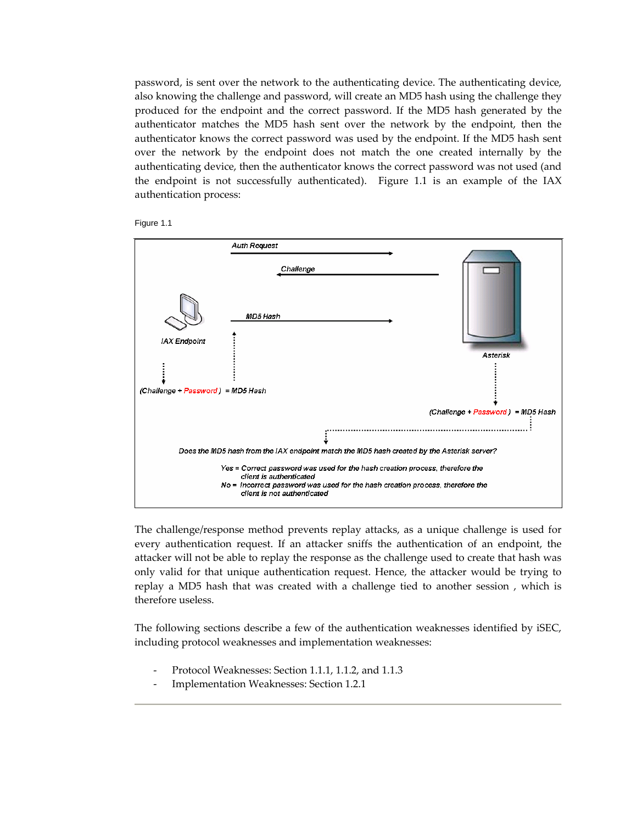password, is sent over the network to the authenticating device. The authenticating device, also knowing the challenge and password, will create an MD5 hash using the challenge they produced for the endpoint and the correct password. If the MD5 hash generated by the authenticator matches the MD5 hash sent over the network by the endpoint, then the authenticator knows the correct password was used by the endpoint. If the MD5 hash sent over the network by the endpoint does not match the one created internally by the authenticating device, then the authenticator knows the correct password was not used (and the endpoint is not successfully authenticated). Figure 1.1 is an example of the IAX authentication process:





The challenge/response method prevents replay attacks, as a unique challenge is used for every authentication request. If an attacker sniffs the authentication of an endpoint, the attacker will not be able to replay the response as the challenge used to create that hash was only valid for that unique authentication request. Hence, the attacker would be trying to replay a MD5 hash that was created with a challenge tied to another session , which is therefore useless.

The following sections describe a few of the authentication weaknesses identified by iSEC, including protocol weaknesses and implementation weaknesses:

- ‐ Protocol Weaknesses: Section 1.1.1, 1.1.2, and 1.1.3
- ‐ Implementation Weaknesses: Section 1.2.1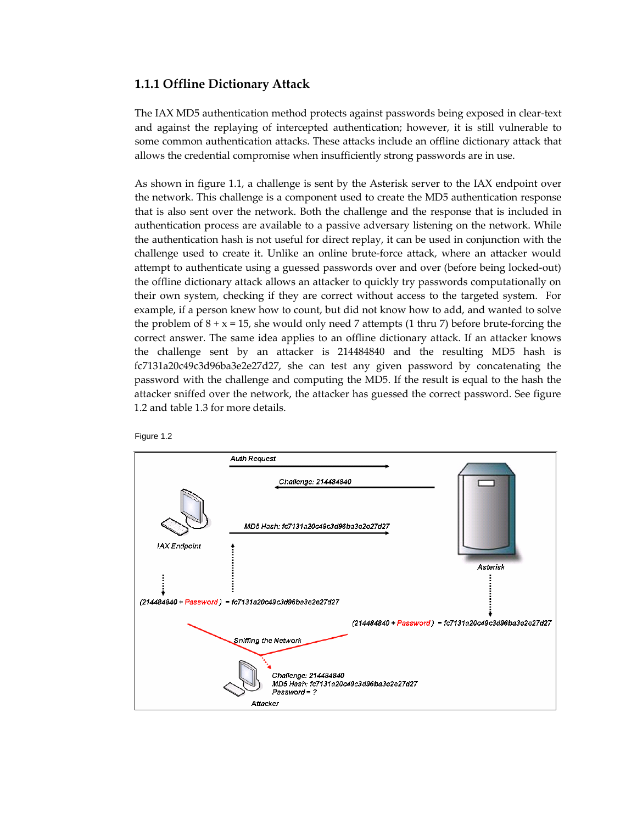# **1.1.1 Offline Dictionary Attack**

The IAX MD5 authentication method protects against passwords being exposed in clear‐text and against the replaying of intercepted authentication; however, it is still vulnerable to some common authentication attacks. These attacks include an offline dictionary attack that allows the credential compromise when insufficiently strong passwords are in use.

As shown in figure 1.1, a challenge is sent by the Asterisk server to the IAX endpoint over the network. This challenge is a component used to create the MD5 authentication response that is also sent over the network. Both the challenge and the response that is included in authentication process are available to a passive adversary listening on the network. While the authentication hash is not useful for direct replay, it can be used in conjunction with the challenge used to create it. Unlike an online brute‐force attack, where an attacker would attempt to authenticate using a guessed passwords over and over (before being locked‐out) the offline dictionary attack allows an attacker to quickly try passwords computationally on their own system, checking if they are correct without access to the targeted system. For example, if a person knew how to count, but did not know how to add, and wanted to solve the problem of  $8 + x = 15$ , she would only need 7 attempts (1 thru 7) before brute-forcing the correct answer. The same idea applies to an offline dictionary attack. If an attacker knows the challenge sent by an attacker is 214484840 and the resulting MD5 hash is fc7131a20c49c3d96ba3e2e27d27, she can test any given password by concatenating the password with the challenge and computing the MD5. If the result is equal to the hash the attacker sniffed over the network, the attacker has guessed the correct password. See figure 1.2 and table 1.3 for more details.



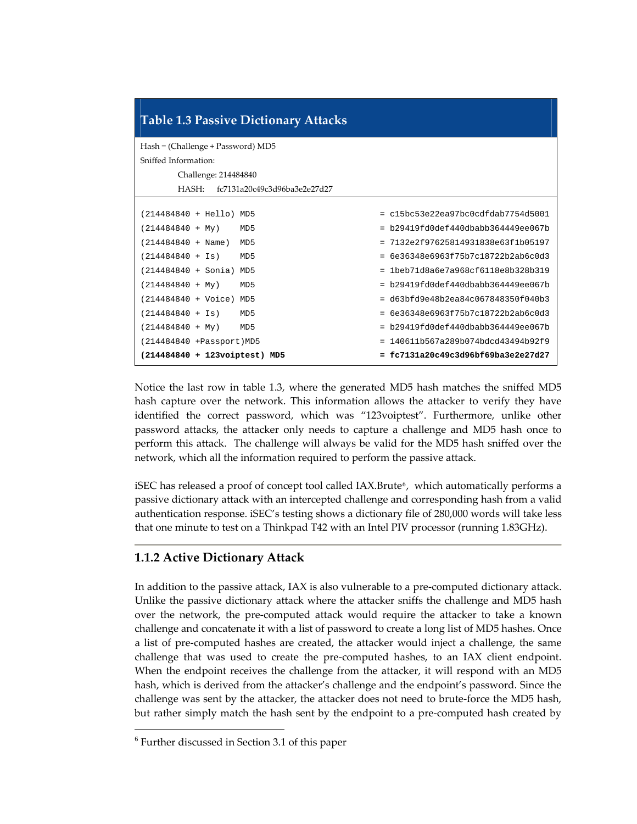| <b>Table 1.3 Passive Dictionary Attacks</b> |                                         |  |  |  |  |  |  |  |  |  |  |
|---------------------------------------------|-----------------------------------------|--|--|--|--|--|--|--|--|--|--|
| Hash = (Challenge + Password) MD5           |                                         |  |  |  |  |  |  |  |  |  |  |
| Sniffed Information:                        |                                         |  |  |  |  |  |  |  |  |  |  |
| Challenge: 214484840                        |                                         |  |  |  |  |  |  |  |  |  |  |
| $HASH+$<br>fc7131a20c49c3d96ba3e2e27d27     |                                         |  |  |  |  |  |  |  |  |  |  |
|                                             |                                         |  |  |  |  |  |  |  |  |  |  |
| (214484840 + Hello) MD5                     | $= c15bc53e22ea97bc0cdfdab7754d5001$    |  |  |  |  |  |  |  |  |  |  |
| $(214484840 + My)$<br>MD5                   | $= b29419fd0def440dbabb364449ee067b$    |  |  |  |  |  |  |  |  |  |  |
| $(214484840 + Name)$<br>MD <sub>5</sub>     | $= 7132e2f97625814931838e63f1b05197$    |  |  |  |  |  |  |  |  |  |  |
| $(214484840 + Is)$<br>MD <sub>5</sub>       | $= 6e36348e6963f75b7c18722b2ab6c0d3$    |  |  |  |  |  |  |  |  |  |  |
| (214484840 + Sonia) MD5                     | 1beb71d8a6e7a968cf6118e8b328b319<br>$=$ |  |  |  |  |  |  |  |  |  |  |
| $(214484840 + My)$<br>MD <sub>5</sub>       | $= b29419fd0def440dbabb364449ee067b$    |  |  |  |  |  |  |  |  |  |  |
| (214484840 + Voice) MD5                     | $= d63bfd9e48b2ea84c067848350f040b3$    |  |  |  |  |  |  |  |  |  |  |
| $(214484840 + Is)$<br>MD5                   | 6e36348e6963f75b7c18722b2ab6c0d3<br>$=$ |  |  |  |  |  |  |  |  |  |  |
| $(214484840 + My)$<br>MD5                   | $= b29419fd0def440dbabb364449ee067b$    |  |  |  |  |  |  |  |  |  |  |
| (214484840 + Passport) MD5                  | $= 140611b567a289b074bdcd43494b92f9$    |  |  |  |  |  |  |  |  |  |  |
| (214484840 + 123voiptest) MD5               | fc7131a20c49c3d96bf69ba3e2e27d27        |  |  |  |  |  |  |  |  |  |  |

Notice the last row in table 1.3, where the generated MD5 hash matches the sniffed MD5 hash capture over the network. This information allows the attacker to verify they have identified the correct password, which was "123voiptest". Furthermore, unlike other password attacks, the attacker only needs to capture a challenge and MD5 hash once to perform this attack. The challenge will always be valid for the MD5 hash sniffed over the network, which all the information required to perform the passive attack.

iSEC has released a proof of concept tool called IAX.Brute<sup>[6](#page-4-0)</sup>, which automatically performs a passive dictionary attack with an intercepted challenge and corresponding hash from a valid authentication response. iSEC's testing shows a dictionary file of 280,000 words will take less that one minute to test on a Thinkpad T42 with an Intel PIV processor (running 1.83GHz).

# **1.1.2 Active Dictionary Attack**

In addition to the passive attack, IAX is also vulnerable to a pre-computed dictionary attack. Unlike the passive dictionary attack where the attacker sniffs the challenge and MD5 hash over the network, the pre‐computed attack would require the attacker to take a known challenge and concatenate it with a list of password to create a long list of MD5 hashes. Once a list of pre‐computed hashes are created, the attacker would inject a challenge, the same challenge that was used to create the pre‐computed hashes, to an IAX client endpoint. When the endpoint receives the challenge from the attacker, it will respond with an MD5 hash, which is derived from the attacker's challenge and the endpoint's password. Since the challenge was sent by the attacker, the attacker does not need to brute‐force the MD5 hash, but rather simply match the hash sent by the endpoint to a pre‐computed hash created by

1

<span id="page-4-0"></span><sup>6</sup> Further discussed in Section 3.1 of this paper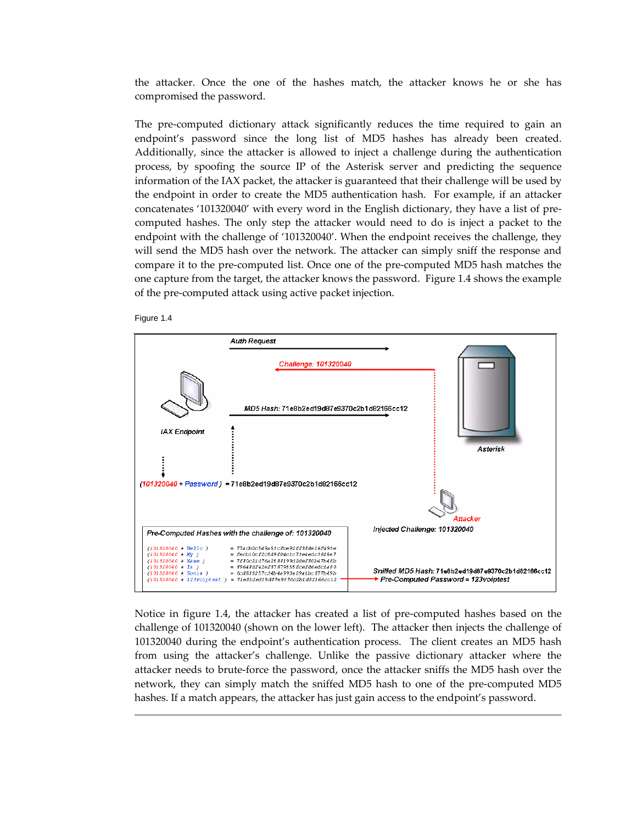the attacker. Once the one of the hashes match, the attacker knows he or she has compromised the password.

The pre‐computed dictionary attack significantly reduces the time required to gain an endpoint's password since the long list of MD5 hashes has already been created. Additionally, since the attacker is allowed to inject a challenge during the authentication process, by spoofing the source IP of the Asterisk server and predicting the sequence information of the IAX packet, the attacker is guaranteed that their challenge will be used by the endpoint in order to create the MD5 authentication hash. For example, if an attacker concatenates '101320040' with every word in the English dictionary, they have a list of pre‐ computed hashes. The only step the attacker would need to do is inject a packet to the endpoint with the challenge of '101320040'. When the endpoint receives the challenge, they will send the MD5 hash over the network. The attacker can simply sniff the response and compare it to the pre‐computed list. Once one of the pre‐computed MD5 hash matches the one capture from the target, the attacker knows the password. Figure 1.4 shows the example of the pre‐computed attack using active packet injection.





Notice in figure 1.4, the attacker has created a list of pre‐computed hashes based on the challenge of 101320040 (shown on the lower left). The attacker then injects the challenge of 101320040 during the endpoint's authentication process. The client creates an MD5 hash from using the attacker's challenge. Unlike the passive dictionary attacker where the attacker needs to brute‐force the password, once the attacker sniffs the MD5 hash over the network, they can simply match the sniffed MD5 hash to one of the pre‐computed MD5 hashes. If a match appears, the attacker has just gain access to the endpoint's password.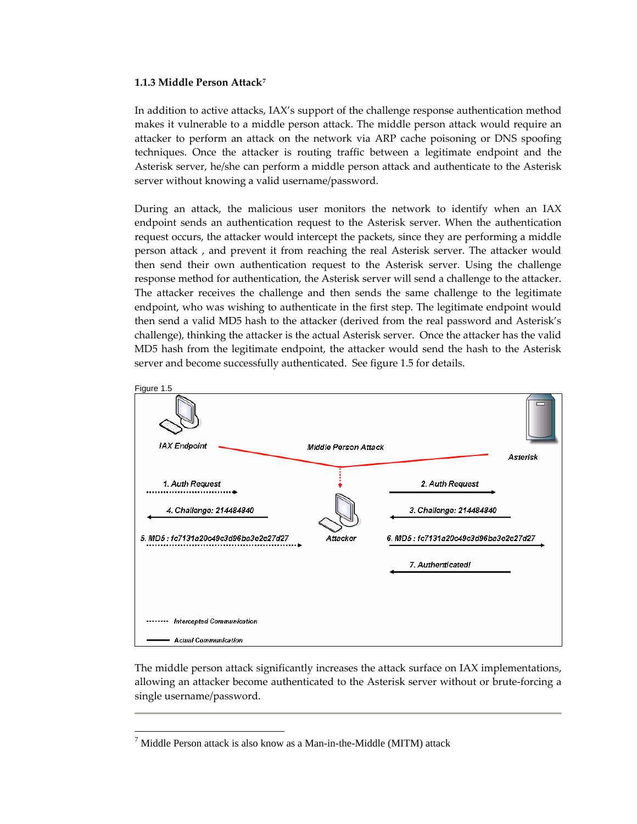#### **1.1.3 Middle Person Attack[7](#page-6-0)**

In addition to active attacks, IAX's support of the challenge response authentication method makes it vulnerable to a middle person attack. The middle person attack would require an attacker to perform an attack on the network via ARP cache poisoning or DNS spoofing techniques. Once the attacker is routing traffic between a legitimate endpoint and the Asterisk server, he/she can perform a middle person attack and authenticate to the Asterisk server without knowing a valid username/password.

During an attack, the malicious user monitors the network to identify when an IAX endpoint sends an authentication request to the Asterisk server. When the authentication request occurs, the attacker would intercept the packets, since they are performing a middle person attack , and prevent it from reaching the real Asterisk server. The attacker would then send their own authentication request to the Asterisk server. Using the challenge response method for authentication, the Asterisk server will send a challenge to the attacker. The attacker receives the challenge and then sends the same challenge to the legitimate endpoint, who was wishing to authenticate in the first step. The legitimate endpoint would then send a valid MD5 hash to the attacker (derived from the real password and Asterisk's challenge), thinking the attacker is the actual Asterisk server. Once the attacker has the valid MD5 hash from the legitimate endpoint, the attacker would send the hash to the Asterisk server and become successfully authenticated. See figure 1.5 for details.



The middle person attack significantly increases the attack surface on IAX implementations, allowing an attacker become authenticated to the Asterisk server without or brute‐forcing a single username/password.

<u>.</u>

<span id="page-6-0"></span> $^7$  Middle Person attack is also know as a Man-in-the-Middle (MITM) attack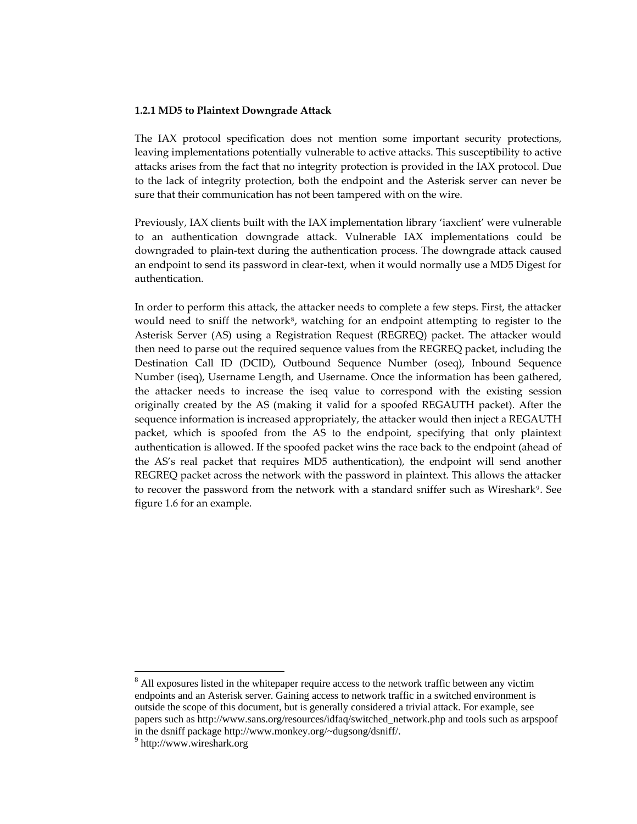#### **1.2.1 MD5 to Plaintext Downgrade Attack**

The IAX protocol specification does not mention some important security protections, leaving implementations potentially vulnerable to active attacks. This susceptibility to active attacks arises from the fact that no integrity protection is provided in the IAX protocol. Due to the lack of integrity protection, both the endpoint and the Asterisk server can never be sure that their communication has not been tampered with on the wire.

Previously, IAX clients built with the IAX implementation library 'iaxclient' were vulnerable to an authentication downgrade attack. Vulnerable IAX implementations could be downgraded to plain‐text during the authentication process. The downgrade attack caused an endpoint to send its password in clear‐text, when it would normally use a MD5 Digest for authentication.

In order to perform this attack, the attacker needs to complete a few steps. First, the attacker would need to sniff the network $8$ , watching for an endpoint attempting to register to the Asterisk Server (AS) using a Registration Request (REGREQ) packet. The attacker would then need to parse out the required sequence values from the REGREQ packet, including the Destination Call ID (DCID), Outbound Sequence Number (oseq), Inbound Sequence Number (iseq), Username Length, and Username. Once the information has been gathered, the attacker needs to increase the iseq value to correspond with the existing session originally created by the AS (making it valid for a spoofed REGAUTH packet). After the sequence information is increased appropriately, the attacker would then inject a REGAUTH packet, which is spoofed from the AS to the endpoint, specifying that only plaintext authentication is allowed. If the spoofed packet wins the race back to the endpoint (ahead of the AS's real packet that requires MD5 authentication), the endpoint will send another REGREQ packet across the network with the password in plaintext. This allows the attacker to recover the password from the network with a standard sniffer such as Wireshark<sup>[9](#page-7-1)</sup>. See figure 1.6 for an example.

1

<span id="page-7-0"></span><sup>&</sup>lt;sup>8</sup> All exposures listed in the whitepaper require access to the network traffic between any victim endpoints and an Asterisk server. Gaining access to network traffic in a switched environment is outside the scope of this document, but is generally considered a trivial attack. For example, see papers such as http://www.sans.org/resources/idfaq/switched\_network.php and tools such as arpspoof in the dsniff package http://www.monkey.org/~dugsong/dsniff/. 9

<span id="page-7-1"></span><sup>&</sup>lt;sup>9</sup> http://www.wireshark.org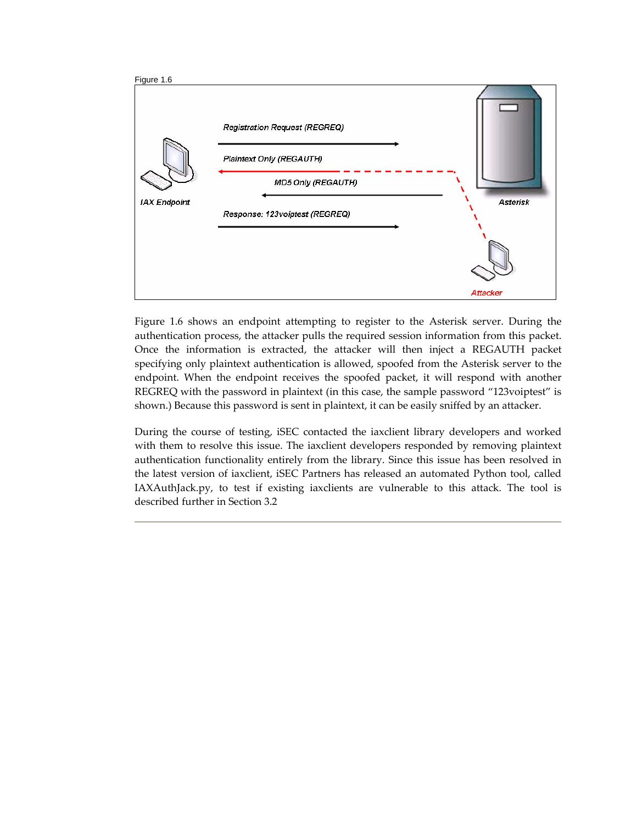

Figure 1.6 shows an endpoint attempting to register to the Asterisk server. During the authentication process, the attacker pulls the required session information from this packet. Once the information is extracted, the attacker will then inject a REGAUTH packet specifying only plaintext authentication is allowed, spoofed from the Asterisk server to the endpoint. When the endpoint receives the spoofed packet, it will respond with another REGREQ with the password in plaintext (in this case, the sample password "123voiptest" is shown.) Because this password is sent in plaintext, it can be easily sniffed by an attacker.

During the course of testing, iSEC contacted the iaxclient library developers and worked with them to resolve this issue. The iaxclient developers responded by removing plaintext authentication functionality entirely from the library. Since this issue has been resolved in the latest version of iaxclient, iSEC Partners has released an automated Python tool, called IAXAuthJack.py, to test if existing iaxclients are vulnerable to this attack. The tool is described further in Section 3.2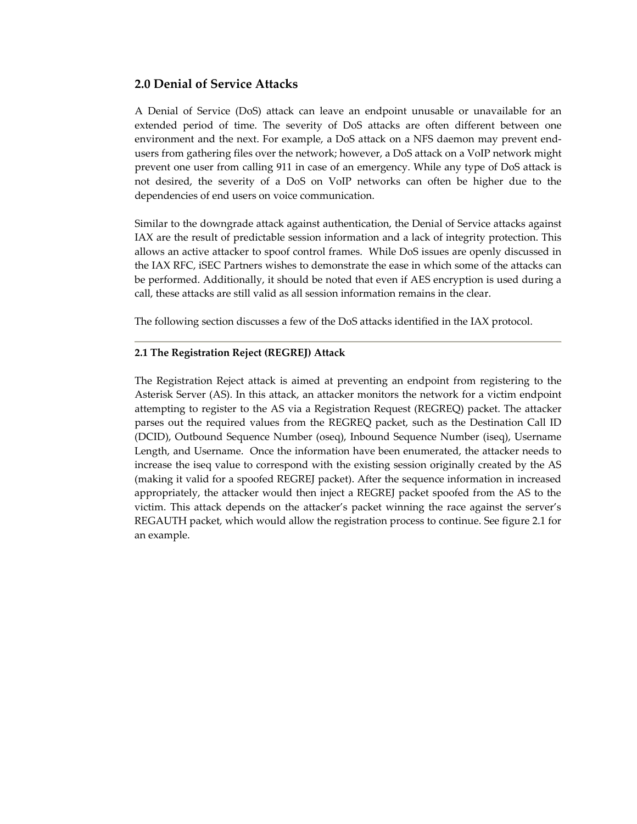# **2.0 Denial of Service Attacks**

A Denial of Service (DoS) attack can leave an endpoint unusable or unavailable for an extended period of time. The severity of DoS attacks are often different between one environment and the next. For example, a DoS attack on a NFS daemon may prevent end‐ users from gathering files over the network; however, a DoS attack on a VoIP network might prevent one user from calling 911 in case of an emergency. While any type of DoS attack is not desired, the severity of a DoS on VoIP networks can often be higher due to the dependencies of end users on voice communication.

Similar to the downgrade attack against authentication, the Denial of Service attacks against IAX are the result of predictable session information and a lack of integrity protection. This allows an active attacker to spoof control frames. While DoS issues are openly discussed in the IAX RFC, iSEC Partners wishes to demonstrate the ease in which some of the attacks can be performed. Additionally, it should be noted that even if AES encryption is used during a call, these attacks are still valid as all session information remains in the clear.

The following section discusses a few of the DoS attacks identified in the IAX protocol.

## **2.1 The Registration Reject (REGREJ) Attack**

The Registration Reject attack is aimed at preventing an endpoint from registering to the Asterisk Server (AS). In this attack, an attacker monitors the network for a victim endpoint attempting to register to the AS via a Registration Request (REGREQ) packet. The attacker parses out the required values from the REGREQ packet, such as the Destination Call ID (DCID), Outbound Sequence Number (oseq), Inbound Sequence Number (iseq), Username Length, and Username. Once the information have been enumerated, the attacker needs to increase the iseq value to correspond with the existing session originally created by the AS (making it valid for a spoofed REGREJ packet). After the sequence information in increased appropriately, the attacker would then inject a REGREJ packet spoofed from the AS to the victim. This attack depends on the attacker's packet winning the race against the server's REGAUTH packet, which would allow the registration process to continue. See figure 2.1 for an example.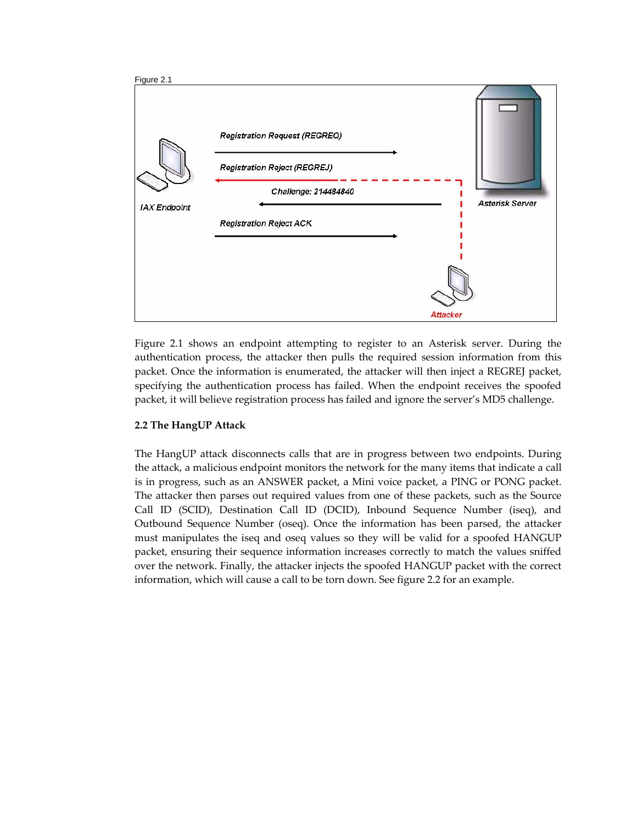

Figure 2.1 shows an endpoint attempting to register to an Asterisk server. During the authentication process, the attacker then pulls the required session information from this packet. Once the information is enumerated, the attacker will then inject a REGREJ packet, specifying the authentication process has failed. When the endpoint receives the spoofed packet, it will believe registration process has failed and ignore the server's MD5 challenge.

## **2.2 The HangUP Attack**

The HangUP attack disconnects calls that are in progress between two endpoints. During the attack, a malicious endpoint monitors the network for the many items that indicate a call is in progress, such as an ANSWER packet, a Mini voice packet, a PING or PONG packet. The attacker then parses out required values from one of these packets, such as the Source Call ID (SCID), Destination Call ID (DCID), Inbound Sequence Number (iseq), and Outbound Sequence Number (oseq). Once the information has been parsed, the attacker must manipulates the iseq and oseq values so they will be valid for a spoofed HANGUP packet, ensuring their sequence information increases correctly to match the values sniffed over the network. Finally, the attacker injects the spoofed HANGUP packet with the correct information, which will cause a call to be torn down. See figure 2.2 for an example.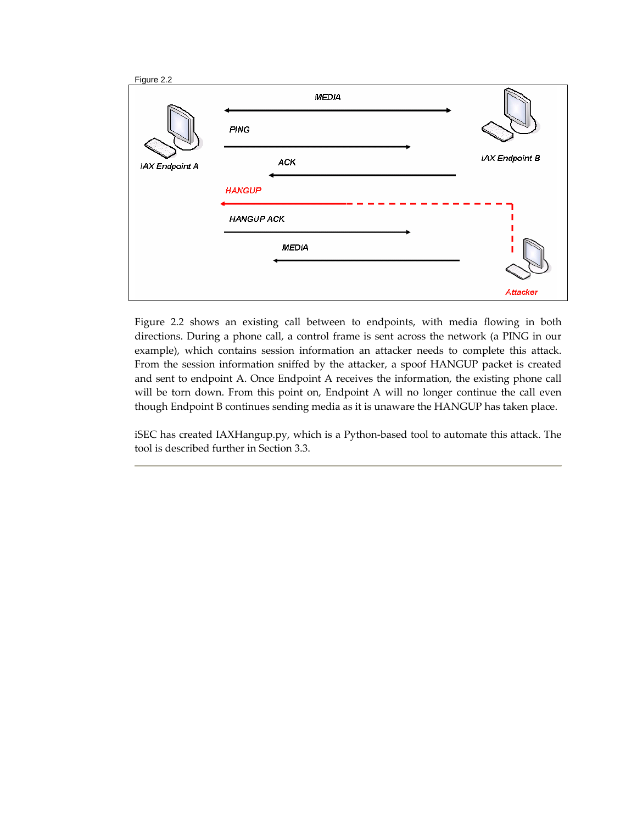

Figure 2.2 shows an existing call between to endpoints, with media flowing in both directions. During a phone call, a control frame is sent across the network (a PING in our example), which contains session information an attacker needs to complete this attack. From the session information sniffed by the attacker, a spoof HANGUP packet is created and sent to endpoint A. Once Endpoint A receives the information, the existing phone call will be torn down. From this point on, Endpoint A will no longer continue the call even though Endpoint B continues sending media as it is unaware the HANGUP has taken place.

iSEC has created IAXHangup.py, which is a Python‐based tool to automate this attack. The tool is described further in Section 3.3.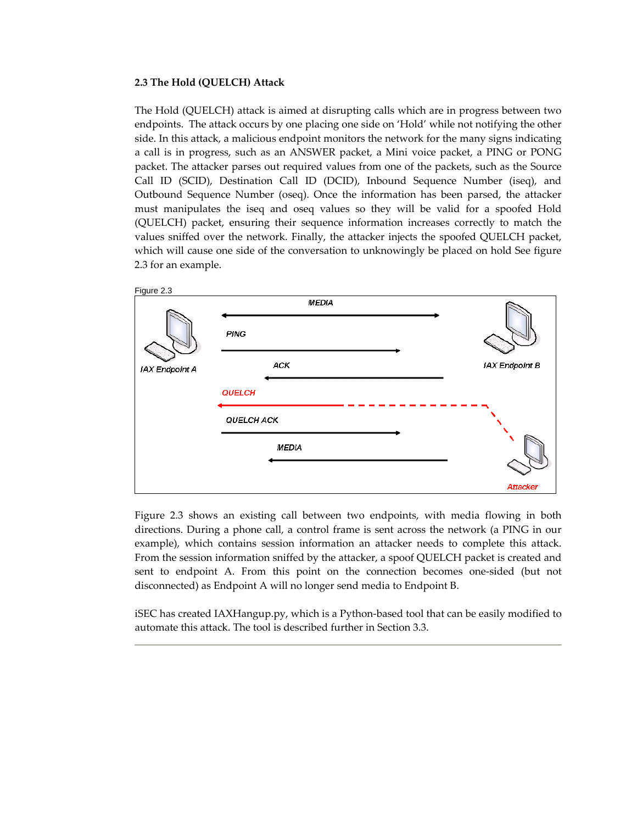#### **2.3 The Hold (QUELCH) Attack**

The Hold (QUELCH) attack is aimed at disrupting calls which are in progress between two endpoints. The attack occurs by one placing one side on 'Hold' while not notifying the other side. In this attack, a malicious endpoint monitors the network for the many signs indicating a call is in progress, such as an ANSWER packet, a Mini voice packet, a PING or PONG packet. The attacker parses out required values from one of the packets, such as the Source Call ID (SCID), Destination Call ID (DCID), Inbound Sequence Number (iseq), and Outbound Sequence Number (oseq). Once the information has been parsed, the attacker must manipulates the iseq and oseq values so they will be valid for a spoofed Hold (QUELCH) packet, ensuring their sequence information increases correctly to match the values sniffed over the network. Finally, the attacker injects the spoofed QUELCH packet, which will cause one side of the conversation to unknowingly be placed on hold See figure 2.3 for an example.



Figure 2.3 shows an existing call between two endpoints, with media flowing in both directions. During a phone call, a control frame is sent across the network (a PING in our example), which contains session information an attacker needs to complete this attack. From the session information sniffed by the attacker, a spoof QUELCH packet is created and sent to endpoint A. From this point on the connection becomes one‐sided (but not disconnected) as Endpoint A will no longer send media to Endpoint B.

iSEC has created IAXHangup.py, which is a Python‐based tool that can be easily modified to automate this attack. The tool is described further in Section 3.3.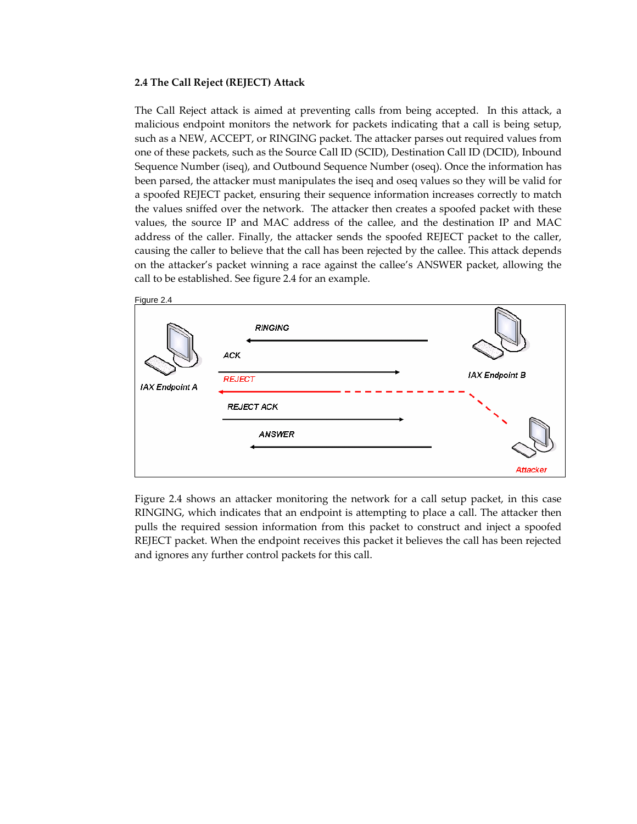#### **2.4 The Call Reject (REJECT) Attack**

The Call Reject attack is aimed at preventing calls from being accepted. In this attack, a malicious endpoint monitors the network for packets indicating that a call is being setup, such as a NEW, ACCEPT, or RINGING packet. The attacker parses out required values from one of these packets, such as the Source Call ID (SCID), Destination Call ID (DCID), Inbound Sequence Number (iseq), and Outbound Sequence Number (oseq). Once the information has been parsed, the attacker must manipulates the iseq and oseq values so they will be valid for a spoofed REJECT packet, ensuring their sequence information increases correctly to match the values sniffed over the network. The attacker then creates a spoofed packet with these values, the source IP and MAC address of the callee, and the destination IP and MAC address of the caller. Finally, the attacker sends the spoofed REJECT packet to the caller, causing the caller to believe that the call has been rejected by the callee. This attack depends on the attacker's packet winning a race against the callee's ANSWER packet, allowing the call to be established. See figure 2.4 for an example.



Figure 2.4 shows an attacker monitoring the network for a call setup packet, in this case RINGING, which indicates that an endpoint is attempting to place a call. The attacker then pulls the required session information from this packet to construct and inject a spoofed REJECT packet. When the endpoint receives this packet it believes the call has been rejected and ignores any further control packets for this call.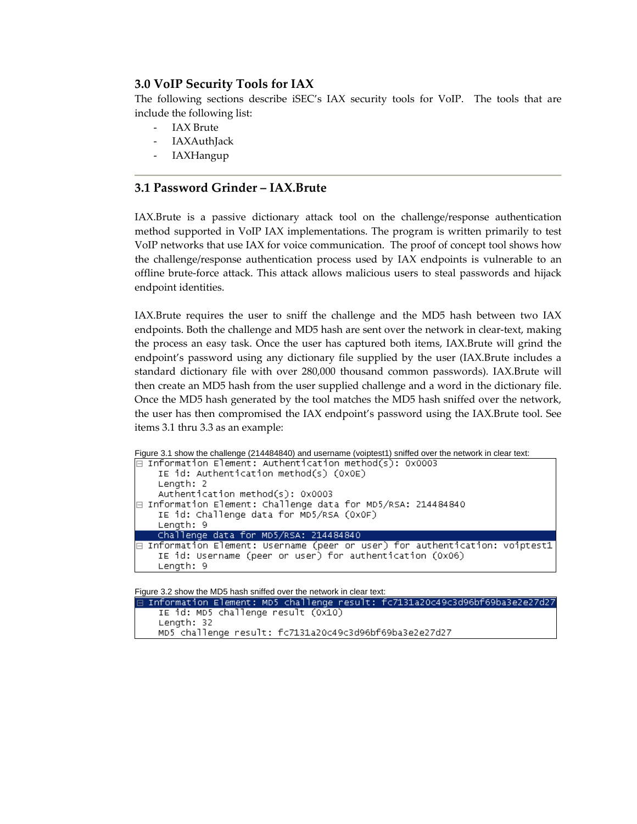# **3.0 VoIP Security Tools for IAX**

The following sections describe iSEC's IAX security tools for VoIP. The tools that are include the following list:

- ‐ IAX Brute
- **IAXAuthJack**
- ‐ IAXHangup

# **3.1 Password Grinder – IAX.Brute**

IAX.Brute is a passive dictionary attack tool on the challenge/response authentication method supported in VoIP IAX implementations. The program is written primarily to test VoIP networks that use IAX for voice communication. The proof of concept tool shows how the challenge/response authentication process used by IAX endpoints is vulnerable to an offline brute‐force attack. This attack allows malicious users to steal passwords and hijack endpoint identities.

IAX.Brute requires the user to sniff the challenge and the MD5 hash between two IAX endpoints. Both the challenge and MD5 hash are sent over the network in clear-text, making the process an easy task. Once the user has captured both items, IAX.Brute will grind the endpoint's password using any dictionary file supplied by the user (IAX.Brute includes a standard dictionary file with over 280,000 thousand common passwords). IAX.Brute will then create an MD5 hash from the user supplied challenge and a word in the dictionary file. Once the MD5 hash generated by the tool matches the MD5 hash sniffed over the network, the user has then compromised the IAX endpoint's password using the IAX.Brute tool. See items 3.1 thru 3.3 as an example:

```
Figure 3.1 show the challenge (214484840) and username (voiptest1) sniffed over the network in clear text:
```

```
\boxminus Information Element: Authentication method(s): 0x0003
   IE id: Authentication method(s) (0x0E)
   Length: 2
    Authentication method(s): 0x0003
⊟ Information Element: Challenge data for MD5/RSA: 214484840
   IE id: Challenge data for MD5/RSA (OXOF)
    Length: 9
   Challenge data for MD5/RSA: 214484840
\boxminus Information Element: Username (peer or user) for authentication: voiptest1
    IE id: Username (peer or user) for authentication (0x06)
    Length: 9
```
Figure 3.2 show the MD5 hash sniffed over the network in clear text:

```
Information Element: MD5 challenge result: fc7131a20c49c3d96bf69ba3e2e27d27 [
   IE id: MD5 challenge result (0x10)
   Length: 32
  MD5 challenge result: fc7131a20c49c3d96bf69ba3e2e27d27
```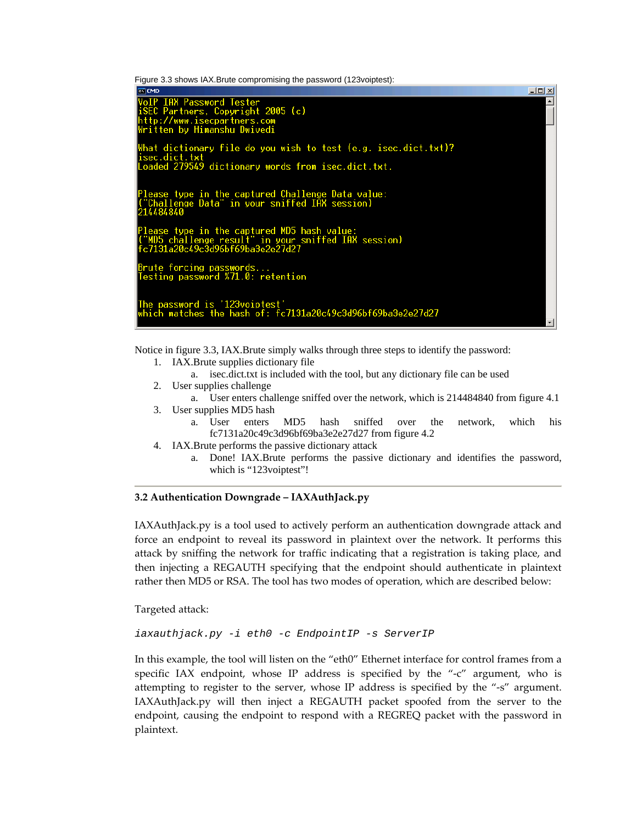Figure 3.3 shows IAX.Brute compromising the password (123voiptest):



Notice in figure 3.3, IAX.Brute simply walks through three steps to identify the password:

- 1. IAX.Brute supplies dictionary file
- a. isec.dict.txt is included with the tool, but any dictionary file can be used
- 2. User supplies challenge
- a. User enters challenge sniffed over the network, which is 214484840 from figure 4.1 3. User supplies MD5 hash
	- a. User enters MD5 hash sniffed over the network, which his fc7131a20c49c3d96bf69ba3e2e27d27 from figure 4.2
- 4. IAX.Brute performs the passive dictionary attack
	- a. Done! IAX.Brute performs the passive dictionary and identifies the password, which is "123 voiptest"!

## **3.2 Authentication Downgrade – IAXAuthJack.py**

IAXAuthJack.py is a tool used to actively perform an authentication downgrade attack and force an endpoint to reveal its password in plaintext over the network. It performs this attack by sniffing the network for traffic indicating that a registration is taking place, and then injecting a REGAUTH specifying that the endpoint should authenticate in plaintext rather then MD5 or RSA. The tool has two modes of operation, which are described below:

Targeted attack:

*iaxauthjack.py -i eth0 -c EndpointIP -s ServerIP* 

In this example, the tool will listen on the "eth0" Ethernet interface for control frames from a specific IAX endpoint, whose IP address is specified by the "-c" argument, who is attempting to register to the server, whose IP address is specified by the "‐s" argument. IAXAuthJack.py will then inject a REGAUTH packet spoofed from the server to the endpoint, causing the endpoint to respond with a REGREQ packet with the password in plaintext.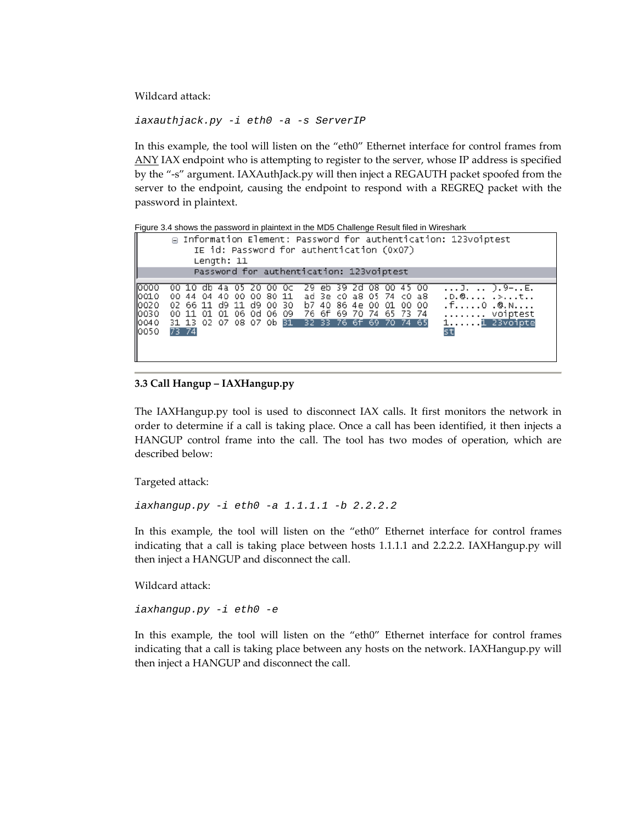Wildcard attack:

*iaxauthjack.py -i eth0 -a -s ServerIP* 

In this example, the tool will listen on the "eth0" Ethernet interface for control frames from ANY IAX endpoint who is attempting to register to the server, whose IP address is specified by the "‐s" argument. IAXAuthJack.py will then inject a REGAUTH packet spoofed from the server to the endpoint, causing the endpoint to respond with a REGREQ packet with the password in plaintext.

Figure 3.4 shows the password in plaintext in the MD5 Challenge Result filed in Wireshark

| □ Information Element: Password for authentication: 123voiptest<br>IE id: Password for authentication (0x07)<br>Length: 11 |              |             |    |                                              |  |          |  |                                                                                                    |    |       |  |    |  |                                                                   |  |  |                                                                                                        |
|----------------------------------------------------------------------------------------------------------------------------|--------------|-------------|----|----------------------------------------------|--|----------|--|----------------------------------------------------------------------------------------------------|----|-------|--|----|--|-------------------------------------------------------------------|--|--|--------------------------------------------------------------------------------------------------------|
| Password for authentication: 123voiptest                                                                                   |              |             |    |                                              |  |          |  |                                                                                                    |    |       |  |    |  |                                                                   |  |  |                                                                                                        |
| 10000<br>0010<br>10020<br>0030<br>0040<br>10050                                                                            | 00.<br>73 74 | 44<br>00 11 | 04 | db 4a<br>40 00 00 80 11<br>01 01 06 0d 06 09 |  | 20 00 OC |  | 02 66 11 d9 11 d9 00 30 b7 40 86 4e 00 01 00 00<br>31 13 02 07 08 07 0b 31 32 33 76 6f 69 70 74 65 | 29 | eb 39 |  | 2d |  | 08 00 45 00<br>ad 3e c0 a8 05 74 c0 a8<br>76 6f 69 70 74 65 73 74 |  |  | $$ ].  ).9-E.<br>.D. @<br>.f0 .@.N<br>$\ldots \ldots \ldots$ voiptest<br>$1, \ldots, 1$ 23voipte<br>st |

## **3.3 Call Hangup – IAXHangup.py**

The IAXHangup.py tool is used to disconnect IAX calls. It first monitors the network in order to determine if a call is taking place. Once a call has been identified, it then injects a HANGUP control frame into the call. The tool has two modes of operation, which are described below:

Targeted attack:

*iaxhangup.py -i eth0 -a 1.1.1.1 -b 2.2.2.2* 

In this example, the tool will listen on the "eth0" Ethernet interface for control frames indicating that a call is taking place between hosts 1.1.1.1 and 2.2.2.2. IAXHangup.py will then inject a HANGUP and disconnect the call.

Wildcard attack:

*iaxhangup.py -i eth0 -e* 

In this example, the tool will listen on the "eth0" Ethernet interface for control frames indicating that a call is taking place between any hosts on the network. IAXHangup.py will then inject a HANGUP and disconnect the call.